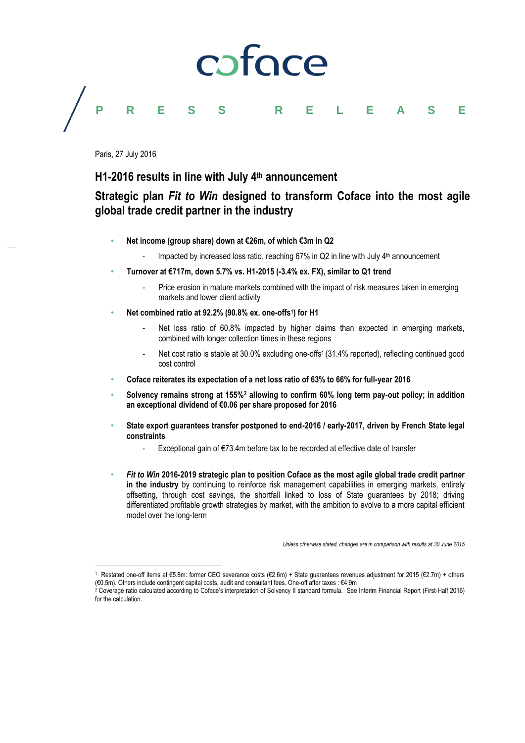# coface

### **PRESS RELEASE**

Paris, 27 July 2016

 $\overline{a}$ 

### **H1-2016 results in line with July 4 th announcement**

### **Strategic plan** *Fit to Win* **designed to transform Coface into the most agile global trade credit partner in the industry**

- **Net income (group share) down at €26m, of which €3m in Q2**
	- Impacted by increased loss ratio, reaching 67% in Q2 in line with July 4<sup>th</sup> announcement
- **Turnover at €717m, down 5.7% vs. H1-2015 (-3.4% ex. FX), similar to Q1 trend** 
	- Price erosion in mature markets combined with the impact of risk measures taken in emerging markets and lower client activity
- **Net combined ratio at 92.2% (90.8% ex. one-offs<sup>1</sup> ) for H1**
	- Net loss ratio of 60.8% impacted by higher claims than expected in emerging markets, combined with longer collection times in these regions
	- Net cost ratio is stable at 30.0% excluding one-offs<sup>1</sup> (31.4% reported), reflecting continued good cost control
- **Coface reiterates its expectation of a net loss ratio of 63% to 66% for full-year 2016**
- **Solvency remains strong at 155%<sup>2</sup> allowing to confirm 60% long term pay-out policy; in addition an exceptional dividend of €0.06 per share proposed for 2016**
- **State export guarantees transfer postponed to end-2016 / early-2017, driven by French State legal constraints**
	- Exceptional gain of €73.4m before tax to be recorded at effective date of transfer
- *Fit to Win* **2016-2019 strategic plan to position Coface as the most agile global trade credit partner in the industry** by continuing to reinforce risk management capabilities in emerging markets, entirely offsetting, through cost savings, the shortfall linked to loss of State guarantees by 2018; driving differentiated profitable growth strategies by market, with the ambition to evolve to a more capital efficient model over the long-term

*Unless otherwise stated, changes are in comparison with results at 30 June 2015*

<sup>1</sup> Restated one-off items at €5.8m: former CEO severance costs (€2.6m) + State guarantees revenues adjustment for 2015 (€2.7m) + others (€0.5m). Others include contingent capital costs, audit and consultant fees. One-off after taxes : €4.9m

<sup>2</sup> Coverage ratio calculated according to Coface's interpretation of Solvency II standard formula. See Interim Financial Report (First-Half 2016) for the calculation.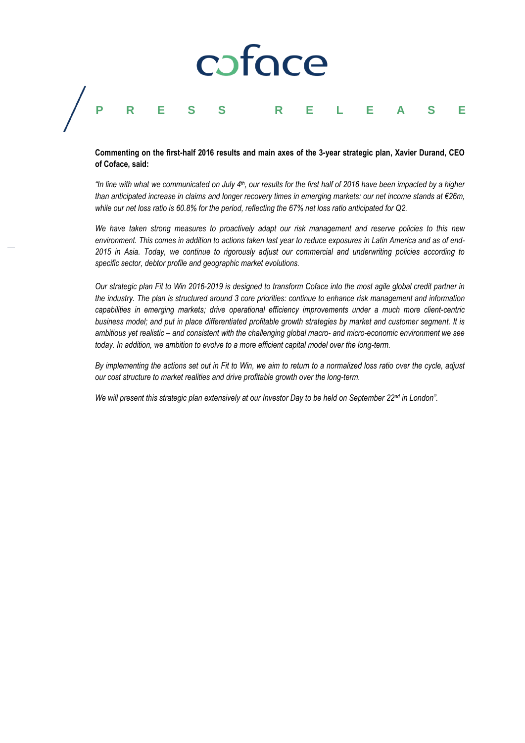## coface **PRESS RELEASE**

#### **Commenting on the first-half 2016 results and main axes of the 3-year strategic plan, Xavier Durand, CEO of Coface, said:**

*"In line with what we communicated on July 4 th, our results for the first half of 2016 have been impacted by a higher than anticipated increase in claims and longer recovery times in emerging markets: our net income stands at €26m, while our net loss ratio is 60.8% for the period, reflecting the 67% net loss ratio anticipated for Q2.* 

*We have taken strong measures to proactively adapt our risk management and reserve policies to this new environment. This comes in addition to actions taken last year to reduce exposures in Latin America and as of end-2015 in Asia. Today, we continue to rigorously adjust our commercial and underwriting policies according to specific sector, debtor profile and geographic market evolutions.*

*Our strategic plan Fit to Win 2016-2019 is designed to transform Coface into the most agile global credit partner in the industry. The plan is structured around 3 core priorities: continue to enhance risk management and information capabilities in emerging markets; drive operational efficiency improvements under a much more client-centric business model; and put in place differentiated profitable growth strategies by market and customer segment. It is ambitious yet realistic – and consistent with the challenging global macro- and micro-economic environment we see today. In addition, we ambition to evolve to a more efficient capital model over the long-term.*

*By implementing the actions set out in Fit to Win, we aim to return to a normalized loss ratio over the cycle, adjust our cost structure to market realities and drive profitable growth over the long-term.*

*We will present this strategic plan extensively at our Investor Day to be held on September 22nd in London".*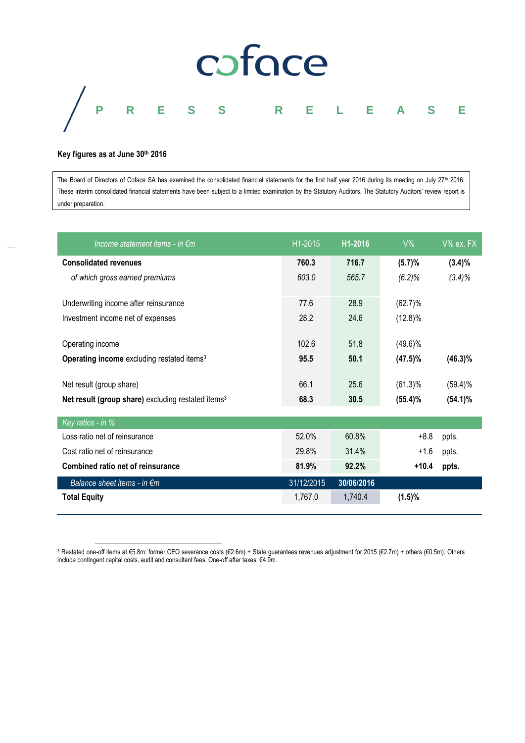

#### **Key figures as at June 30th 2016**

The Board of Directors of Coface SA has examined the consolidated financial statements for the first half year 2016 during its meeting on July 27<sup>th</sup> 2016. These interim consolidated financial statements have been subject to a limited examination by the Statutory Auditors. The Statutory Auditors' review report is under preparation.

| Income statement items - in $\epsilon$ m                       | H1-2015    | H <sub>1</sub> -2016 | $V\%$      | V% ex. FX  |
|----------------------------------------------------------------|------------|----------------------|------------|------------|
| <b>Consolidated revenues</b>                                   | 760.3      | 716.7                | (5.7)%     | $(3.4)\%$  |
| of which gross earned premiums                                 | 603.0      | 565.7                | $(6.2)\%$  | $(3.4)\%$  |
|                                                                |            |                      |            |            |
| Underwriting income after reinsurance                          | 77.6       | 28.9                 | $(62.7)$ % |            |
| Investment income net of expenses                              | 28.2       | 24.6                 | $(12.8)\%$ |            |
|                                                                |            |                      |            |            |
| Operating income                                               | 102.6      | 51.8                 | $(49.6)\%$ |            |
| Operating income excluding restated items <sup>3</sup>         | 95.5       | 50.1                 | $(47.5)\%$ | $(46.3)\%$ |
|                                                                |            |                      |            |            |
| Net result (group share)                                       | 66.1       | 25.6                 | $(61.3)\%$ | $(59.4)\%$ |
| Net result (group share) excluding restated items <sup>3</sup> | 68.3       | 30.5                 | (55.4)%    | $(54.1)\%$ |
| Key ratios - in %                                              |            |                      |            |            |
| Loss ratio net of reinsurance                                  | 52.0%      | 60.8%                | $+8.8$     | ppts.      |
| Cost ratio net of reinsurance                                  | 29.8%      | 31.4%                | $+1.6$     | ppts.      |
| Combined ratio net of reinsurance                              | 81.9%      | 92.2%                | $+10.4$    | ppts.      |
| Balance sheet items - in $\epsilon$ m                          | 31/12/2015 | 30/06/2016           |            |            |
| <b>Total Equity</b>                                            | 1,767.0    | 1,740.4              | (1.5)%     |            |
|                                                                |            |                      |            |            |

l <sup>3</sup> Restated one-off items at €5.8m: former CEO severance costs (€2.6m) + State guarantees revenues adjustment for 2015 (€2.7m) + others (€0.5m). Others include contingent capital costs, audit and consultant fees. One-off after taxes: €4.9m.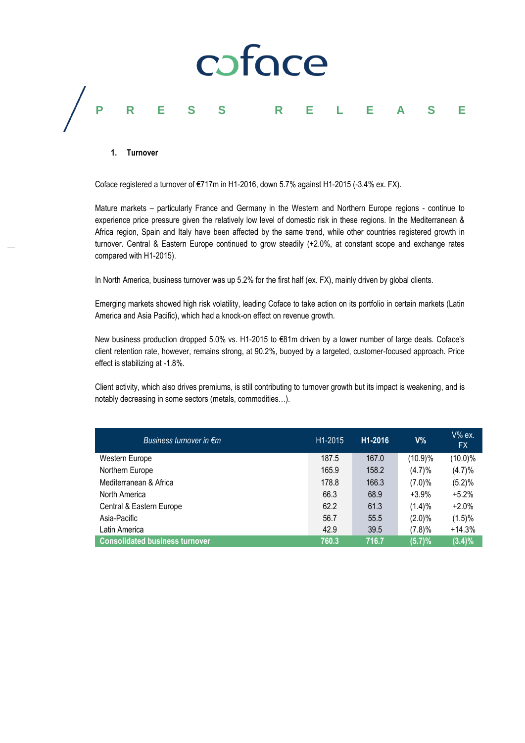

#### **1. Turnover**

Coface registered a turnover of €717m in H1-2016, down 5.7% against H1-2015 (-3.4% ex. FX).

Mature markets – particularly France and Germany in the Western and Northern Europe regions - continue to experience price pressure given the relatively low level of domestic risk in these regions. In the Mediterranean & Africa region, Spain and Italy have been affected by the same trend, while other countries registered growth in turnover. Central & Eastern Europe continued to grow steadily (+2.0%, at constant scope and exchange rates compared with H1-2015).

In North America, business turnover was up 5.2% for the first half (ex. FX), mainly driven by global clients.

Emerging markets showed high risk volatility, leading Coface to take action on its portfolio in certain markets (Latin America and Asia Pacific), which had a knock-on effect on revenue growth.

New business production dropped 5.0% vs. H1-2015 to €81m driven by a lower number of large deals. Coface's client retention rate, however, remains strong, at 90.2%, buoyed by a targeted, customer-focused approach. Price effect is stabilizing at -1.8%.

Client activity, which also drives premiums, is still contributing to turnover growth but its impact is weakening, and is notably decreasing in some sectors (metals, commodities…).

| Business turnover in $\epsilon$ m     | H <sub>1</sub> -2015 | H <sub>1</sub> -2016 | V%        | $V\%$ ex.<br>FX. |
|---------------------------------------|----------------------|----------------------|-----------|------------------|
| Western Europe                        | 187.5                | 167.0                | (10.9)%   | $(10.0)\%$       |
| Northern Europe                       | 165.9                | 158.2                | (4.7)%    | (4.7)%           |
| Mediterranean & Africa                | 178.8                | 166.3                | $(7.0)\%$ | (5.2)%           |
| North America                         | 66.3                 | 68.9                 | $+3.9\%$  | $+5.2%$          |
| Central & Eastern Europe              | 62.2                 | 61.3                 | (1.4)%    | $+2.0%$          |
| Asia-Pacific                          | 56.7                 | 55.5                 | $(2.0)\%$ | (1.5)%           |
| Latin America                         | 42.9                 | 39.5                 | (7.8)%    | $+14.3%$         |
| <b>Consolidated business turnover</b> | 760.3                | 716.7                | (5.7)%    | $(3.4)\%$        |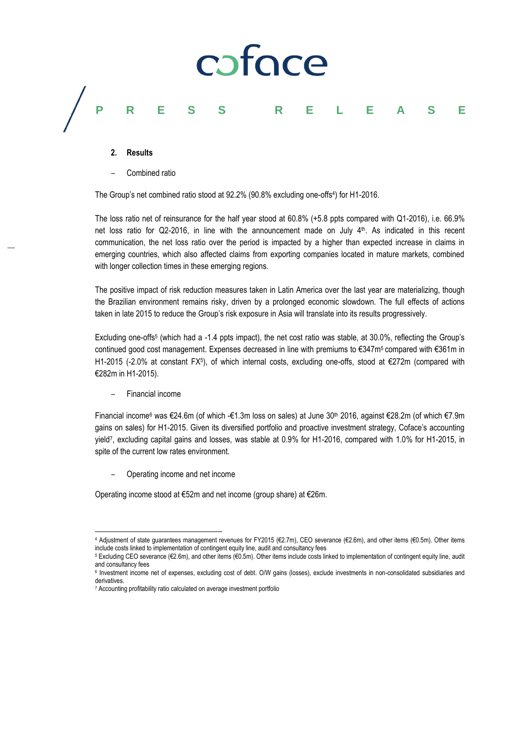

#### **2. Results**

– Combined ratio

The Group's net combined ratio stood at 92.2% (90.8% excluding one-offs<sup>4</sup>) for H1-2016.

The loss ratio net of reinsurance for the half year stood at 60.8% (+5.8 ppts compared with Q1-2016), i.e. 66.9% net loss ratio for Q2-2016, in line with the announcement made on July 4 th. As indicated in this recent communication, the net loss ratio over the period is impacted by a higher than expected increase in claims in emerging countries, which also affected claims from exporting companies located in mature markets, combined with longer collection times in these emerging regions.

The positive impact of risk reduction measures taken in Latin America over the last year are materializing, though the Brazilian environment remains risky, driven by a prolonged economic slowdown. The full effects of actions taken in late 2015 to reduce the Group's risk exposure in Asia will translate into its results progressively.

Excluding one-offs<sup>5</sup> (which had a -1.4 ppts impact), the net cost ratio was stable, at 30.0%, reflecting the Group's continued good cost management. Expenses decreased in line with premiums to €347m<sup>5</sup> compared with €361m in H1-2015 (-2.0% at constant FX<sup>5</sup>), of which internal costs, excluding one-offs, stood at €272m (compared with €282m in H1-2015).

#### – Financial income

 $\overline{a}$ 

Financial income<sup>6</sup> was €24.6m (of which -€1.3m loss on sales) at June 30th 2016, against €28.2m (of which €7.9m gains on sales) for H1-2015. Given its diversified portfolio and proactive investment strategy, Coface's accounting yield<sup>7</sup> , excluding capital gains and losses, was stable at 0.9% for H1-2016, compared with 1.0% for H1-2015, in spite of the current low rates environment.

– Operating income and net income

Operating income stood at €52m and net income (group share) at €26m.

<sup>4</sup> Adjustment of state guarantees management revenues for FY2015 (€2.7m), CEO severance (€2.6m), and other items (€0.5m). Other items include costs linked to implementation of contingent equity line, audit and consultancy fees

<sup>5</sup> Excluding CEO severance (€2.6m), and other items (€0.5m). Other items include costs linked to implementation of contingent equity line, audit and consultancy fees

<sup>&</sup>lt;sup>6</sup> Investment income net of expenses, excluding cost of debt. O/W gains (losses), exclude investments in non-consolidated subsidiaries and derivatives.

<sup>7</sup> Accounting profitability ratio calculated on average investment portfolio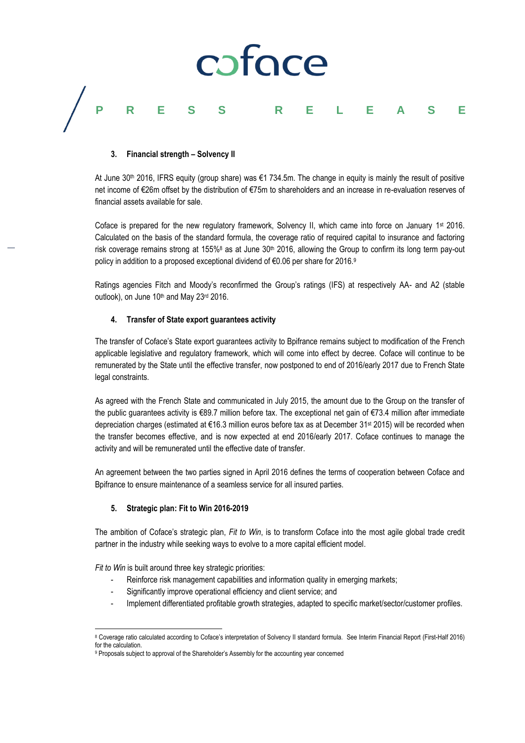

#### **3. Financial strength – Solvency II**

At June 30<sup>th</sup> 2016, IFRS equity (group share) was €1 734.5m. The change in equity is mainly the result of positive net income of €26m offset by the distribution of €75m to shareholders and an increase in re-evaluation reserves of financial assets available for sale.

Coface is prepared for the new regulatory framework, Solvency II, which came into force on January  $1st$  2016. Calculated on the basis of the standard formula, the coverage ratio of required capital to insurance and factoring risk coverage remains strong at 155%<sup>8</sup> as at June 30<sup>th</sup> 2016, allowing the Group to confirm its long term pay-out policy in addition to a proposed exceptional dividend of €0.06 per share for 2016.<sup>9</sup>

Ratings agencies Fitch and Moody's reconfirmed the Group's ratings (IFS) at respectively AA- and A2 (stable outlook), on June 10<sup>th</sup> and May 23<sup>rd</sup> 2016.

#### **4. Transfer of State export guarantees activity**

The transfer of Coface's State export guarantees activity to Bpifrance remains subject to modification of the French applicable legislative and regulatory framework, which will come into effect by decree. Coface will continue to be remunerated by the State until the effective transfer, now postponed to end of 2016/early 2017 due to French State legal constraints.

As agreed with the French State and communicated in July 2015, the amount due to the Group on the transfer of the public guarantees activity is €89.7 million before tax. The exceptional net gain of €73.4 million after immediate depreciation charges (estimated at €16.3 million euros before tax as at December 31st 2015) will be recorded when the transfer becomes effective, and is now expected at end 2016/early 2017. Coface continues to manage the activity and will be remunerated until the effective date of transfer.

An agreement between the two parties signed in April 2016 defines the terms of cooperation between Coface and Bpifrance to ensure maintenance of a seamless service for all insured parties.

#### **5. Strategic plan: Fit to Win 2016-2019**

The ambition of Coface's strategic plan, *Fit to Win*, is to transform Coface into the most agile global trade credit partner in the industry while seeking ways to evolve to a more capital efficient model.

*Fit to Win* is built around three key strategic priorities:

- Reinforce risk management capabilities and information quality in emerging markets;
- Significantly improve operational efficiency and client service; and
- Implement differentiated profitable growth strategies, adapted to specific market/sector/customer profiles.

l <sup>8</sup> Coverage ratio calculated according to Coface's interpretation of Solvency II standard formula. See Interim Financial Report (First-Half 2016) for the calculation.

<sup>9</sup> Proposals subject to approval of the Shareholder's Assembly for the accounting year concerned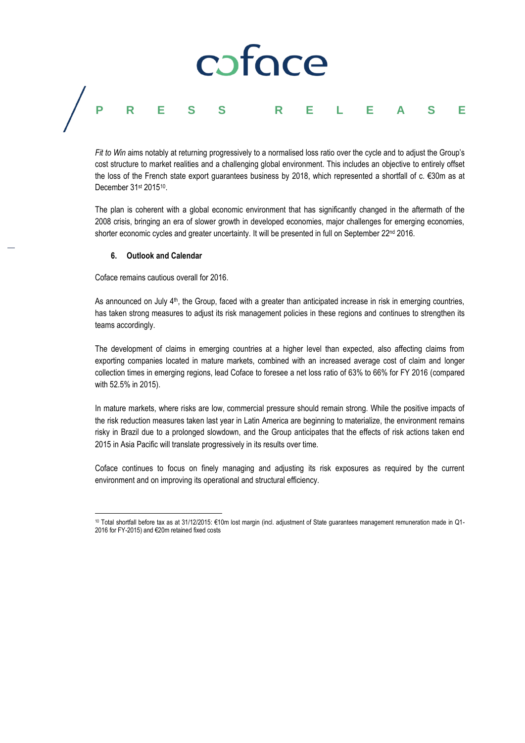## coface **PRESS RELEASE**

*Fit to Win* aims notably at returning progressively to a normalised loss ratio over the cycle and to adjust the Group's cost structure to market realities and a challenging global environment. This includes an objective to entirely offset the loss of the French state export guarantees business by 2018, which represented a shortfall of c. €30m as at December 31st 2015<sup>10</sup>.

The plan is coherent with a global economic environment that has significantly changed in the aftermath of the 2008 crisis, bringing an era of slower growth in developed economies, major challenges for emerging economies, shorter economic cycles and greater uncertainty. It will be presented in full on September 22<sup>nd</sup> 2016.

#### **6. Outlook and Calendar**

Coface remains cautious overall for 2016.

As announced on July 4<sup>th</sup>, the Group, faced with a greater than anticipated increase in risk in emerging countries, has taken strong measures to adjust its risk management policies in these regions and continues to strengthen its teams accordingly.

The development of claims in emerging countries at a higher level than expected, also affecting claims from exporting companies located in mature markets, combined with an increased average cost of claim and longer collection times in emerging regions, lead Coface to foresee a net loss ratio of 63% to 66% for FY 2016 (compared with 52.5% in 2015).

In mature markets, where risks are low, commercial pressure should remain strong. While the positive impacts of the risk reduction measures taken last year in Latin America are beginning to materialize, the environment remains risky in Brazil due to a prolonged slowdown, and the Group anticipates that the effects of risk actions taken end 2015 in Asia Pacific will translate progressively in its results over time.

Coface continues to focus on finely managing and adjusting its risk exposures as required by the current environment and on improving its operational and structural efficiency.

 $\overline{a}$ <sup>10</sup> Total shortfall before tax as at 31/12/2015: €10m lost margin (incl. adjustment of State guarantees management remuneration made in Q1- 2016 for FY-2015) and €20m retained fixed costs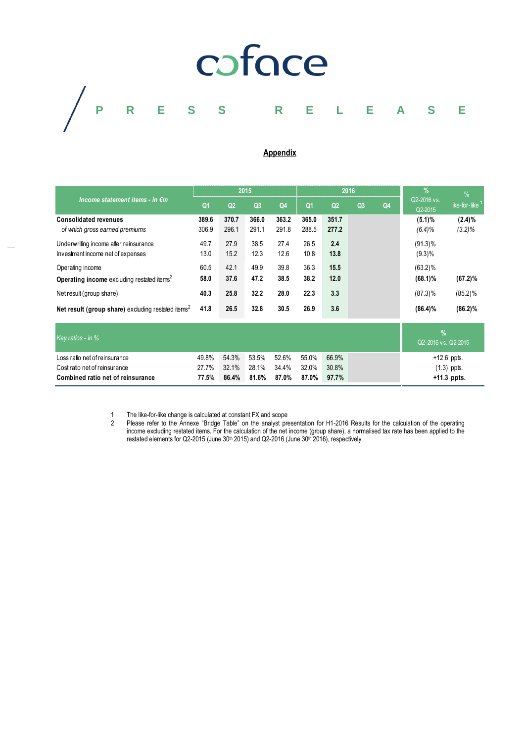

#### **Appendix**

| Income statement items - in $\epsilon$ m                                   | 2015           |                |                |                | 2016           |                |                |    | $\frac{9}{6}$            | %                      |
|----------------------------------------------------------------------------|----------------|----------------|----------------|----------------|----------------|----------------|----------------|----|--------------------------|------------------------|
|                                                                            | Q <sub>1</sub> | Q <sub>2</sub> | Q <sub>3</sub> | Q <sub>4</sub> | Q1             | Q <sub>2</sub> | Q <sub>3</sub> | Q4 | Q2-2016 vs.<br>Q2-2015   | like-for-like          |
| <b>Consolidated revenues</b><br>of which gross earned premiums             | 389.6<br>306.9 | 370.7<br>296.1 | 366.0<br>291.1 | 363.2<br>291.8 | 365.0<br>288.5 | 351.7<br>277.2 |                |    | (5.1)%<br>$(6.4)\%$      | $(2.4)\%$<br>$(3.2)\%$ |
| Underwriting income after reinsurance<br>Investment income net of expenses | 49.7<br>13.0   | 27.9<br>15.2   | 38.5<br>12.3   | 27.4<br>12.6   | 26.5<br>10.8   | 2.4<br>13.8    |                |    | $(91.3)\%$<br>$(9.3)\%$  |                        |
| Operating income<br>Operating income excluding restated items <sup>2</sup> | 60.5<br>58.0   | 42.1<br>37.6   | 49.9<br>47.2   | 39.8<br>38.5   | 36.3<br>38.2   | 15.5<br>12.0   |                |    | $(63.2)\%$<br>$(68.1)\%$ | $(67.2)\%$             |
| Net result (group share)                                                   | 40.3           | 25.8           | 32.2           | 28.0           | 22.3           | 3.3            |                |    | $(87.3)\%$               | $(85.2)\%$             |
| Net result (group share) excluding restated items <sup>2</sup>             | 41.8           | 26.5           | 32.8           | 30.5           | 26.9           | 3.6            |                |    | $(86.4)\%$               | $(86.2)\%$             |

| Key ratios - in %                 |       |                         |             |                         |                   |       | Q2-2016 vs. Q2-2015 |
|-----------------------------------|-------|-------------------------|-------------|-------------------------|-------------------|-------|---------------------|
| Loss ratio net of reinsurance     | 49.8% |                         |             | 54.3% 53.5% 52.6% 55.0% |                   | 66.9% | $+12.6$ ppts.       |
| Cost ratio net of reinsurance     | 27.7% | 32.1% 28.1% 34.4% 32.0% |             |                         |                   | 30.8% | $(1.3)$ ppts.       |
| Combined ratio net of reinsurance | 77.5% |                         | 86.4% 81.6% |                         | 87.0% 87.0% 97.7% |       | $+11.3$ ppts.       |

1 The like-for-like change is calculated at constant FX and scope<br>2 Please refer to the Annexe "Bridge Table" on the analyst pre

2 Please refer to the Annexe "Bridge Table" on the analyst presentation for H1-2016 Results for the calculation of the operating income excluding restated items. For the calculation of the net income (group share), a normalised tax rate has been applied to the restated elements for Q2-2015 (June 30<sup>th</sup> 2015) and Q2-2016 (June 30<sup>th</sup> 2016), respectively